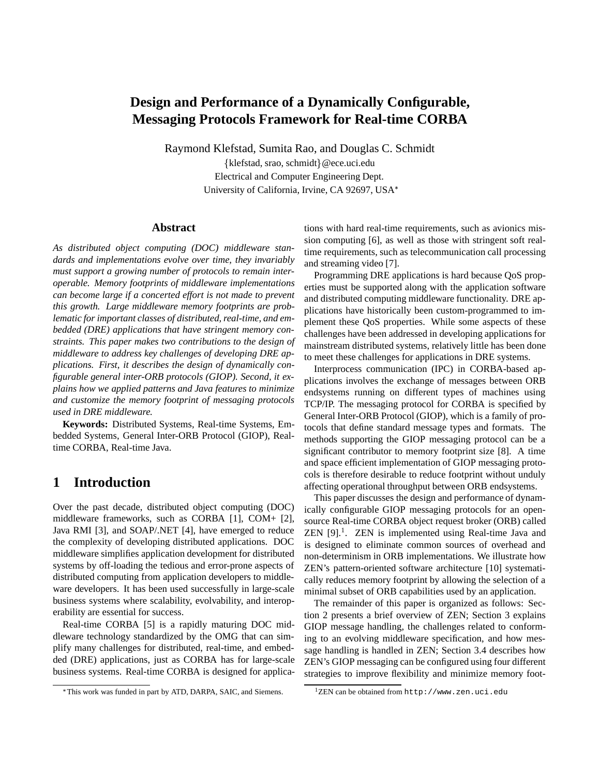# **Design and Performance of a Dynamically Configurable, Messaging Protocols Framework for Real-time CORBA**

Raymond Klefstad, Sumita Rao, and Douglas C. Schmidt

{klefstad, srao, schmidt}@ece.uci.edu Electrical and Computer Engineering Dept. University of California, Irvine, CA 92697, USA

#### **Abstract**

*As distributed object computing (DOC) middleware standards and implementations evolve over time, they invariably must support a growing number of protocols to remain interoperable. Memory footprints of middleware implementations can become large if a concerted effort is not made to prevent this growth. Large middleware memory footprints are problematic for important classes of distributed, real-time, and embedded (DRE) applications that have stringent memory constraints. This paper makes two contributions to the design of middleware to address key challenges of developing DRE applications. First, it describes the design of dynamically configurable general inter-ORB protocols (GIOP). Second, it explains how we applied patterns and Java features to minimize and customize the memory footprint of messaging protocols used in DRE middleware.*

**Keywords:** Distributed Systems, Real-time Systems, Embedded Systems, General Inter-ORB Protocol (GIOP), Realtime CORBA, Real-time Java.

# **1 Introduction**

Over the past decade, distributed object computing (DOC) middleware frameworks, such as CORBA [1], COM+ [2], Java RMI [3], and SOAP/.NET [4], have emerged to reduce the complexity of developing distributed applications. DOC middleware simplifies application development for distributed systems by off-loading the tedious and error-prone aspects of distributed computing from application developers to middleware developers. It has been used successfully in large-scale business systems where scalability, evolvability, and interoperability are essential for success.

Real-time CORBA [5] is a rapidly maturing DOC middleware technology standardized by the OMG that can simplify many challenges for distributed, real-time, and embedded (DRE) applications, just as CORBA has for large-scale business systems. Real-time CORBA is designed for applications with hard real-time requirements, such as avionics mission computing [6], as well as those with stringent soft realtime requirements, such as telecommunication call processing and streaming video [7].

Programming DRE applications is hard because QoS properties must be supported along with the application software and distributed computing middleware functionality. DRE applications have historically been custom-programmed to implement these QoS properties. While some aspects of these challenges have been addressed in developing applications for mainstream distributed systems, relatively little has been done to meet these challenges for applications in DRE systems.

Interprocess communication (IPC) in CORBA-based applications involves the exchange of messages between ORB endsystems running on different types of machines using TCP/IP. The messaging protocol for CORBA is specified by General Inter-ORB Protocol (GIOP), which is a family of protocols that define standard message types and formats. The methods supporting the GIOP messaging protocol can be a significant contributor to memory footprint size [8]. A time and space efficient implementation of GIOP messaging protocols is therefore desirable to reduce footprint without unduly affecting operational throughput between ORB endsystems.

This paper discusses the design and performance of dynamically configurable GIOP messaging protocols for an opensource Real-time CORBA object request broker (ORB) called ZEN [9].1. ZEN is implemented using Real-time Java and is designed to eliminate common sources of overhead and non-determinism in ORB implementations. We illustrate how ZEN's pattern-oriented software architecture [10] systematically reduces memory footprint by allowing the selection of a minimal subset of ORB capabilities used by an application.

The remainder of this paper is organized as follows: Section 2 presents a brief overview of ZEN; Section 3 explains GIOP message handling, the challenges related to conforming to an evolving middleware specification, and how message handling is handled in ZEN; Section 3.4 describes how ZEN's GIOP messaging can be configured using four different strategies to improve flexibility and minimize memory foot-

This work was funded in part by ATD, DARPA, SAIC, and Siemens.

 $1$ ZEN can be obtained from  $http://www.zen.uci.edu)$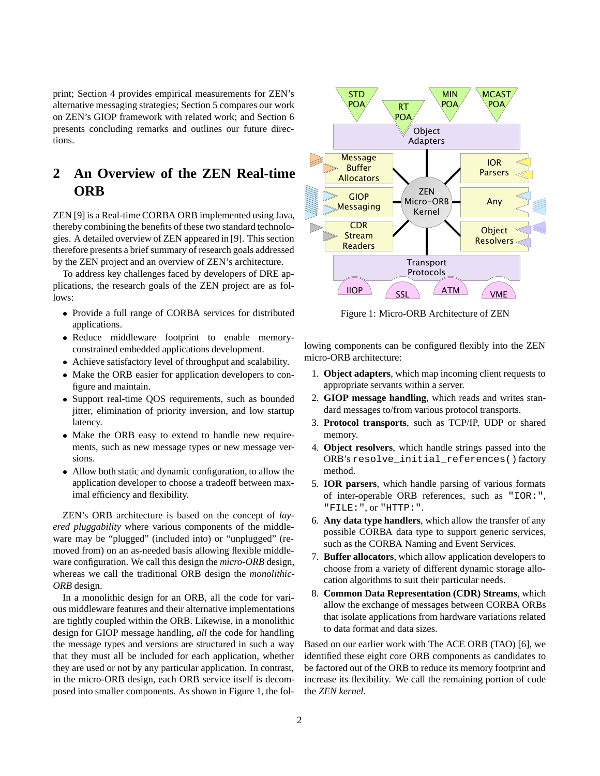print; Section 4 provides empirical measurements for ZEN's alternative messaging strategies; Section 5 compares our work on ZEN's GIOP framework with related work; and Section 6 presents concluding remarks and outlines our future directions.

# **2 An Overview of the ZEN Real-time ORB**

ZEN [9] is a Real-time CORBA ORB implemented using Java, thereby combining the benefits of these two standard technologies. A detailed overview of ZEN appeared in [9]. This section therefore presents a brief summary of research goals addressed by the ZEN project and an overview of ZEN's architecture.

To address key challenges faced by developers of DRE applications, the research goals of the ZEN project are as follows:

- Provide a full range of CORBA services for distributed applications.
- Reduce middleware footprint to enable memoryconstrained embedded applications development.
- Achieve satisfactory level of throughput and scalability.
- Make the ORB easier for application developers to configure and maintain.
- Support real-time QOS requirements, such as bounded jitter, elimination of priority inversion, and low startup latency.
- Make the ORB easy to extend to handle new requirements, such as new message types or new message versions.
- Allow both static and dynamic configuration, to allow the application developer to choose a tradeoff between maximal efficiency and flexibility.

ZEN's ORB architecture is based on the concept of *layered pluggability* where various components of the middleware may be "plugged" (included into) or "unplugged" (removed from) on an as-needed basis allowing flexible middleware configuration. We call this design the *micro-ORB* design, whereas we call the traditional ORB design the *monolithic-ORB* design.

In a monolithic design for an ORB, all the code for various middleware features and their alternative implementations are tightly coupled within the ORB. Likewise, in a monolithic design for GIOP message handling, *all* the code for handling the message types and versions are structured in such a way that they must all be included for each application, whether they are used or not by any particular application. In contrast, in the micro-ORB design, each ORB service itself is decomposed into smaller components. As shown in Figure 1, the fol-



Figure 1: Micro-ORB Architecture of ZEN

lowing components can be configured flexibly into the ZEN micro-ORB architecture:

- 1. **Object adapters**, which map incoming client requests to appropriate servants within a server.
- 2. **GIOP message handling**, which reads and writes standard messages to/from various protocol transports.
- 3. **Protocol transports**, such as TCP/IP, UDP or shared memory.
- 4. **Object resolvers**, which handle strings passed into the ORB's resolve\_initial\_references() factory method.
- 5. **IOR parsers**, which handle parsing of various formats of inter-operable ORB references, such as "IOR:", "FILE:", or "HTTP:".
- 6. **Any data type handlers**, which allow the transfer of any possible CORBA data type to support generic services, such as the CORBA Naming and Event Services.
- 7. **Buffer allocators**, which allow application developers to choose from a variety of different dynamic storage allocation algorithms to suit their particular needs.
- 8. **Common Data Representation (CDR) Streams**, which allow the exchange of messages between CORBA ORBs that isolate applications from hardware variations related to data format and data sizes.

Based on our earlier work with The ACE ORB (TAO) [6], we identified these eight core ORB components as candidates to be factored out of the ORB to reduce its memory footprint and increase its flexibility. We call the remaining portion of code the *ZEN kernel*.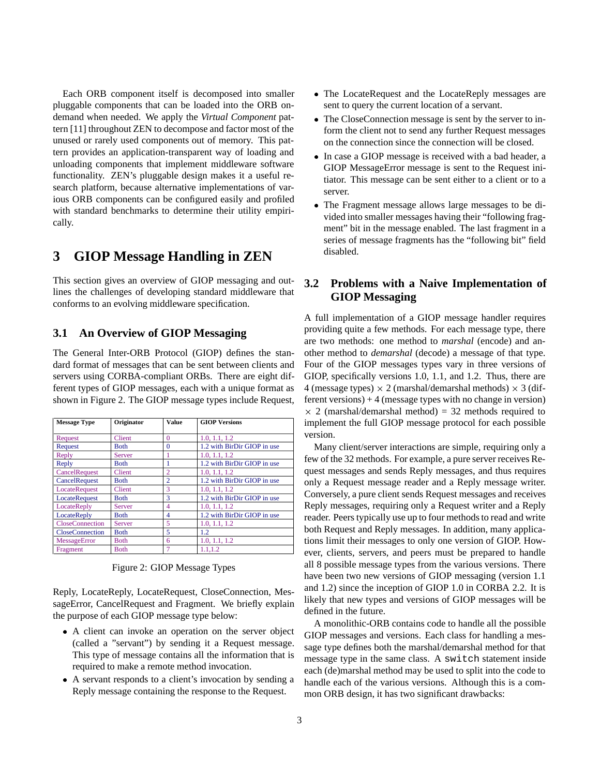Each ORB component itself is decomposed into smaller pluggable components that can be loaded into the ORB ondemand when needed. We apply the *Virtual Component* pattern [11] throughout ZEN to decompose and factor most of the unused or rarely used components out of memory. This pattern provides an application-transparent way of loading and unloading components that implement middleware software functionality. ZEN's pluggable design makes it a useful research platform, because alternative implementations of various ORB components can be configured easily and profiled with standard benchmarks to determine their utility empirically.

# **3 GIOP Message Handling in ZEN**

This section gives an overview of GIOP messaging and outlines the challenges of developing standard middleware that conforms to an evolving middleware specification.

### **3.1 An Overview of GIOP Messaging**

The General Inter-ORB Protocol (GIOP) defines the standard format of messages that can be sent between clients and servers using CORBA-compliant ORBs. There are eight different types of GIOP messages, each with a unique format as shown in Figure 2. The GIOP message types include Request,

| <b>Message Type</b>    | Originator    | Value<br>$\Omega$ | <b>GIOP Versions</b>        |  |
|------------------------|---------------|-------------------|-----------------------------|--|
| Request                | Client        |                   | 1.0. 1.1. 1.2               |  |
| Request                | <b>Both</b>   | $\Omega$          | 1.2 with BirDir GIOP in use |  |
| Reply                  | Server        |                   | 1.0. 1.1. 1.2               |  |
| Reply                  | Both          |                   | 1.2 with BirDir GIOP in use |  |
| CancelRequest          | <b>Client</b> | $\overline{c}$    | 1.0. 1.1. 1.2               |  |
| CancelRequest          | <b>Both</b>   | $\overline{2}$    | 1.2 with BirDir GIOP in use |  |
| <b>LocateRequest</b>   | Client        | 3                 | 1.0. 1.1. 1.2               |  |
| LocateRequest          | <b>Both</b>   | 3                 | 1.2 with BirDir GIOP in use |  |
| LocateReply            | Server        | 4                 | 1.0. 1.1. 1.2               |  |
| <b>LocateReply</b>     | <b>Both</b>   | 4                 | 1.2 with BirDir GIOP in use |  |
| <b>CloseConnection</b> | Server        | 5                 | 1.0, 1.1, 1.2               |  |
| <b>CloseConnection</b> | <b>Both</b>   | 5                 | 1.2                         |  |
| MessageError           | <b>Both</b>   | 6                 | 1.0, 1.1, 1.2               |  |
| Fragment               | <b>B</b> oth  | 7                 | 1.1.1.2                     |  |

Figure 2: GIOP Message Types

Reply, LocateReply, LocateRequest, CloseConnection, MessageError, CancelRequest and Fragment. We briefly explain the purpose of each GIOP message type below:

- A client can invoke an operation on the server object (called a "servant") by sending it a Request message. This type of message contains all the information that is required to make a remote method invocation.
- A servant responds to a client's invocation by sending a Reply message containing the response to the Request.
- The LocateRequest and the LocateReply messages are sent to query the current location of a servant.
- The CloseConnection message is sent by the server to inform the client not to send any further Request messages on the connection since the connection will be closed.
- In case a GIOP message is received with a bad header, a GIOP MessageError message is sent to the Request initiator. This message can be sent either to a client or to a server.
- The Fragment message allows large messages to be divided into smaller messages having their "following fragment" bit in the message enabled. The last fragment in a series of message fragments has the "following bit" field disabled.

### **3.2 Problems with a Naive Implementation of GIOP Messaging**

A full implementation of a GIOP message handler requires providing quite a few methods. For each message type, there are two methods: one method to *marshal* (encode) and another method to *demarshal* (decode) a message of that type. Four of the GIOP messages types vary in three versions of GIOP, specifically versions 1.0, 1.1, and 1.2. Thus, there are 4 (message types)  $\times$  2 (marshal/demarshal methods)  $\times$  3 (different versions) + 4 (message types with no change in version)  $\times$  2 (marshal/demarshal method) = 32 methods required to implement the full GIOP message protocol for each possible version.

Many client/server interactions are simple, requiring only a few of the 32 methods. For example, a pure server receives Request messages and sends Reply messages, and thus requires only a Request message reader and a Reply message writer. Conversely, a pure client sends Request messages and receives Reply messages, requiring only a Request writer and a Reply reader. Peers typically use up to four methods to read and write both Request and Reply messages. In addition, many applications limit their messages to only one version of GIOP. However, clients, servers, and peers must be prepared to handle all 8 possible message types from the various versions. There have been two new versions of GIOP messaging (version 1.1 and 1.2) since the inception of GIOP 1.0 in CORBA 2.2. It is likely that new types and versions of GIOP messages will be defined in the future.

A monolithic-ORB contains code to handle all the possible GIOP messages and versions. Each class for handling a message type defines both the marshal/demarshal method for that message type in the same class. A switch statement inside each (de)marshal method may be used to split into the code to handle each of the various versions. Although this is a common ORB design, it has two significant drawbacks: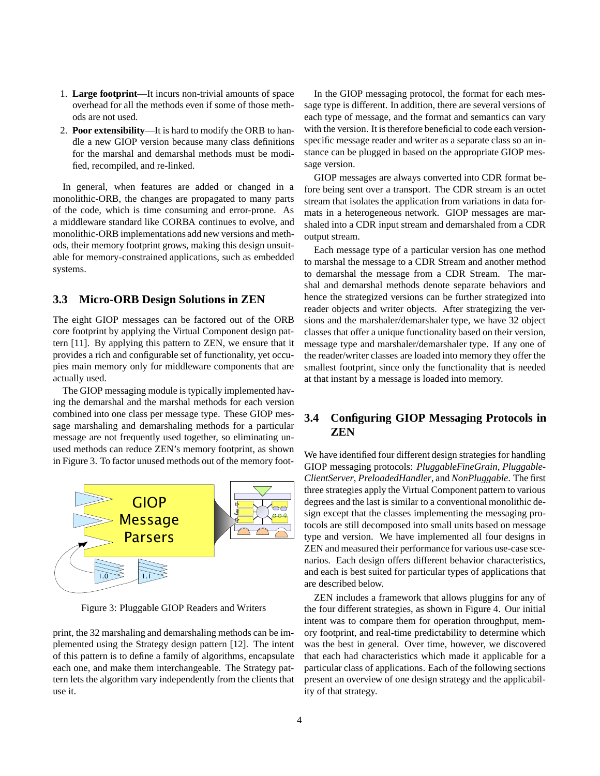- 1. **Large footprint**—It incurs non-trivial amounts of space overhead for all the methods even if some of those methods are not used.
- 2. **Poor extensibility**—It is hard to modify the ORB to handle a new GIOP version because many class definitions for the marshal and demarshal methods must be modified, recompiled, and re-linked.

In general, when features are added or changed in a monolithic-ORB, the changes are propagated to many parts of the code, which is time consuming and error-prone. As a middleware standard like CORBA continues to evolve, and monolithic-ORB implementations add new versions and methods, their memory footprint grows, making this design unsuitable for memory-constrained applications, such as embedded systems.

### **3.3 Micro-ORB Design Solutions in ZEN**

The eight GIOP messages can be factored out of the ORB core footprint by applying the Virtual Component design pattern [11]. By applying this pattern to ZEN, we ensure that it provides a rich and configurable set of functionality, yet occupies main memory only for middleware components that are actually used.

The GIOP messaging module is typically implemented having the demarshal and the marshal methods for each version combined into one class per message type. These GIOP message marshaling and demarshaling methods for a particular message are not frequently used together, so eliminating unused methods can reduce ZEN's memory footprint, as shown in Figure 3. To factor unused methods out of the memory foot-



Figure 3: Pluggable GIOP Readers and Writers

print, the 32 marshaling and demarshaling methods can be implemented using the Strategy design pattern [12]. The intent of this pattern is to define a family of algorithms, encapsulate each one, and make them interchangeable. The Strategy pattern lets the algorithm vary independently from the clients that use it.

In the GIOP messaging protocol, the format for each message type is different. In addition, there are several versions of each type of message, and the format and semantics can vary with the version. It is therefore beneficial to code each versionspecific message reader and writer as a separate class so an instance can be plugged in based on the appropriate GIOP message version.

GIOP messages are always converted into CDR format before being sent over a transport. The CDR stream is an octet stream that isolates the application from variations in data formats in a heterogeneous network. GIOP messages are marshaled into a CDR input stream and demarshaled from a CDR output stream.

Each message type of a particular version has one method to marshal the message to a CDR Stream and another method to demarshal the message from a CDR Stream. The marshal and demarshal methods denote separate behaviors and hence the strategized versions can be further strategized into reader objects and writer objects. After strategizing the versions and the marshaler/demarshaler type, we have 32 object classes that offer a unique functionality based on their version, message type and marshaler/demarshaler type. If any one of the reader/writer classes are loaded into memory they offer the smallest footprint, since only the functionality that is needed at that instant by a message is loaded into memory.

### **3.4 Configuring GIOP Messaging Protocols in ZEN**

We have identified four different design strategies for handling GIOP messaging protocols: *PluggableFineGrain*, *Pluggable-ClientServer*, *PreloadedHandler*, and *NonPluggable*. The first three strategies apply the Virtual Component pattern to various degrees and the last is similar to a conventional monolithic design except that the classes implementing the messaging protocols are still decomposed into small units based on message type and version. We have implemented all four designs in ZEN and measured their performance for various use-case scenarios. Each design offers different behavior characteristics, and each is best suited for particular types of applications that are described below.

ZEN includes a framework that allows pluggins for any of the four different strategies, as shown in Figure 4. Our initial intent was to compare them for operation throughput, memory footprint, and real-time predictability to determine which was the best in general. Over time, however, we discovered that each had characteristics which made it applicable for a particular class of applications. Each of the following sections present an overview of one design strategy and the applicability of that strategy.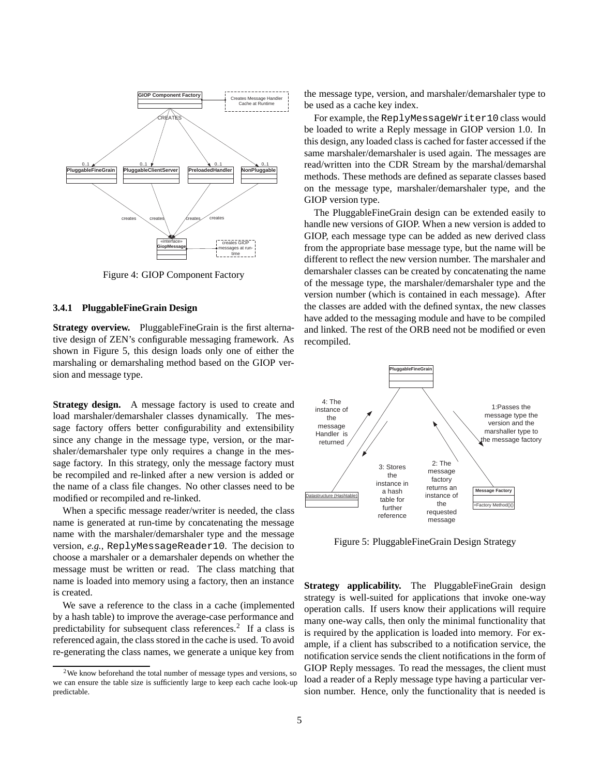

Figure 4: GIOP Component Factory

#### **3.4.1 PluggableFineGrain Design**

**Strategy overview.** PluggableFineGrain is the first alternative design of ZEN's configurable messaging framework. As shown in Figure 5, this design loads only one of either the marshaling or demarshaling method based on the GIOP version and message type.

**Strategy design.** A message factory is used to create and load marshaler/demarshaler classes dynamically. The message factory offers better configurability and extensibility since any change in the message type, version, or the marshaler/demarshaler type only requires a change in the message factory. In this strategy, only the message factory must be recompiled and re-linked after a new version is added or the name of a class file changes. No other classes need to be modified or recompiled and re-linked.

When a specific message reader/writer is needed, the class name is generated at run-time by concatenating the message name with the marshaler/demarshaler type and the message version, *e.g.*, ReplyMessageReader10. The decision to choose a marshaler or a demarshaler depends on whether the message must be written or read. The class matching that name is loaded into memory using a factory, then an instance is created.

We save a reference to the class in a cache (implemented by a hash table) to improve the average-case performance and predictability for subsequent class references.<sup>2</sup> If a class is referenced again, the class stored in the cache is used. To avoid re-generating the class names, we generate a unique key from the message type, version, and marshaler/demarshaler type to be used as a cache key index.

For example, the ReplyMessageWriter10 class would be loaded to write a Reply message in GIOP version 1.0. In this design, any loaded class is cached for faster accessed if the same marshaler/demarshaler is used again. The messages are read/written into the CDR Stream by the marshal/demarshal methods. These methods are defined as separate classes based on the message type, marshaler/demarshaler type, and the GIOP version type.

The PluggableFineGrain design can be extended easily to handle new versions of GIOP. When a new version is added to GIOP, each message type can be added as new derived class from the appropriate base message type, but the name will be different to reflect the new version number. The marshaler and demarshaler classes can be created by concatenating the name of the message type, the marshaler/demarshaler type and the version number (which is contained in each message). After the classes are added with the defined syntax, the new classes have added to the messaging module and have to be compiled and linked. The rest of the ORB need not be modified or even recompiled.



Figure 5: PluggableFineGrain Design Strategy

**Strategy applicability.** The PluggableFineGrain design strategy is well-suited for applications that invoke one-way operation calls. If users know their applications will require many one-way calls, then only the minimal functionality that is required by the application is loaded into memory. For example, if a client has subscribed to a notification service, the notification service sends the client notifications in the form of GIOP Reply messages. To read the messages, the client must load a reader of a Reply message type having a particular version number. Hence, only the functionality that is needed is

 $2$ We know beforehand the total number of message types and versions, so we can ensure the table size is sufficiently large to keep each cache look-up predictable.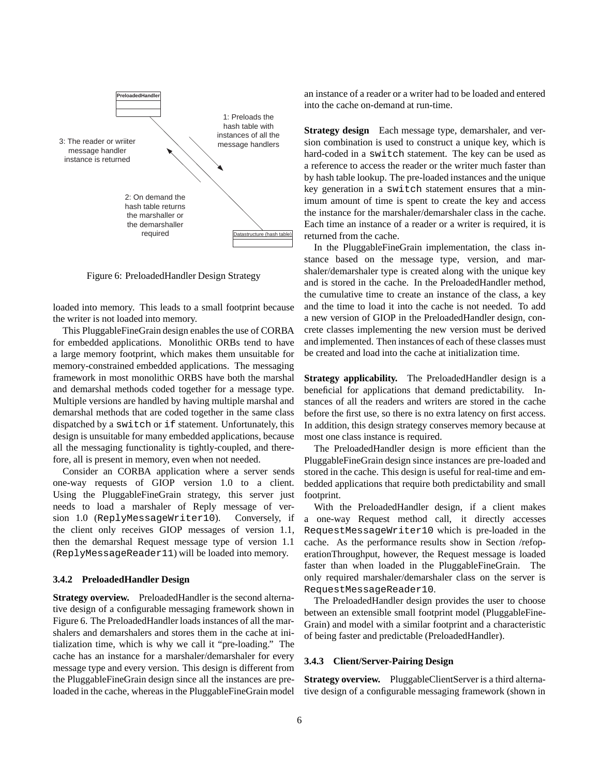

Figure 6: PreloadedHandler Design Strategy

loaded into memory. This leads to a small footprint because the writer is not loaded into memory.

This PluggableFineGrain design enables the use of CORBA for embedded applications. Monolithic ORBs tend to have a large memory footprint, which makes them unsuitable for memory-constrained embedded applications. The messaging framework in most monolithic ORBS have both the marshal and demarshal methods coded together for a message type. Multiple versions are handled by having multiple marshal and demarshal methods that are coded together in the same class dispatched by a switch or if statement. Unfortunately, this design is unsuitable for many embedded applications, because all the messaging functionality is tightly-coupled, and therefore, all is present in memory, even when not needed.

Consider an CORBA application where a server sends one-way requests of GIOP version 1.0 to a client. Using the PluggableFineGrain strategy, this server just needs to load a marshaler of Reply message of version 1.0 (ReplyMessageWriter10). Conversely, if the client only receives GIOP messages of version 1.1, then the demarshal Request message type of version 1.1 (ReplyMessageReader11) will be loaded into memory.

#### **3.4.2 PreloadedHandler Design**

**Strategy overview.** PreloadedHandler is the second alternative design of a configurable messaging framework shown in Figure 6. The PreloadedHandler loads instances of all the marshalers and demarshalers and stores them in the cache at initialization time, which is why we call it "pre-loading." The cache has an instance for a marshaler/demarshaler for every message type and every version. This design is different from the PluggableFineGrain design since all the instances are preloaded in the cache, whereas in the PluggableFineGrain model an instance of a reader or a writer had to be loaded and entered into the cache on-demand at run-time.

**Strategy design** Each message type, demarshaler, and version combination is used to construct a unique key, which is hard-coded in a switch statement. The key can be used as a reference to access the reader or the writer much faster than by hash table lookup. The pre-loaded instances and the unique key generation in a switch statement ensures that a minimum amount of time is spent to create the key and access the instance for the marshaler/demarshaler class in the cache. Each time an instance of a reader or a writer is required, it is returned from the cache.

In the PluggableFineGrain implementation, the class instance based on the message type, version, and marshaler/demarshaler type is created along with the unique key and is stored in the cache. In the PreloadedHandler method, the cumulative time to create an instance of the class, a key and the time to load it into the cache is not needed. To add a new version of GIOP in the PreloadedHandler design, concrete classes implementing the new version must be derived and implemented. Then instances of each of these classes must be created and load into the cache at initialization time.

**Strategy applicability.** The PreloadedHandler design is a beneficial for applications that demand predictability. Instances of all the readers and writers are stored in the cache before the first use, so there is no extra latency on first access. In addition, this design strategy conserves memory because at most one class instance is required.

The PreloadedHandler design is more efficient than the PluggableFineGrain design since instances are pre-loaded and stored in the cache. This design is useful for real-time and embedded applications that require both predictability and small footprint.

With the PreloadedHandler design, if a client makes a one-way Request method call, it directly accesses RequestMessageWriter10 which is pre-loaded in the cache. As the performance results show in Section /refoperationThroughput, however, the Request message is loaded faster than when loaded in the PluggableFineGrain. The only required marshaler/demarshaler class on the server is RequestMessageReader10.

The PreloadedHandler design provides the user to choose between an extensible small footprint model (PluggableFine-Grain) and model with a similar footprint and a characteristic of being faster and predictable (PreloadedHandler).

#### **3.4.3 Client/Server-Pairing Design**

**Strategy overview.** PluggableClientServer is a third alternative design of a configurable messaging framework (shown in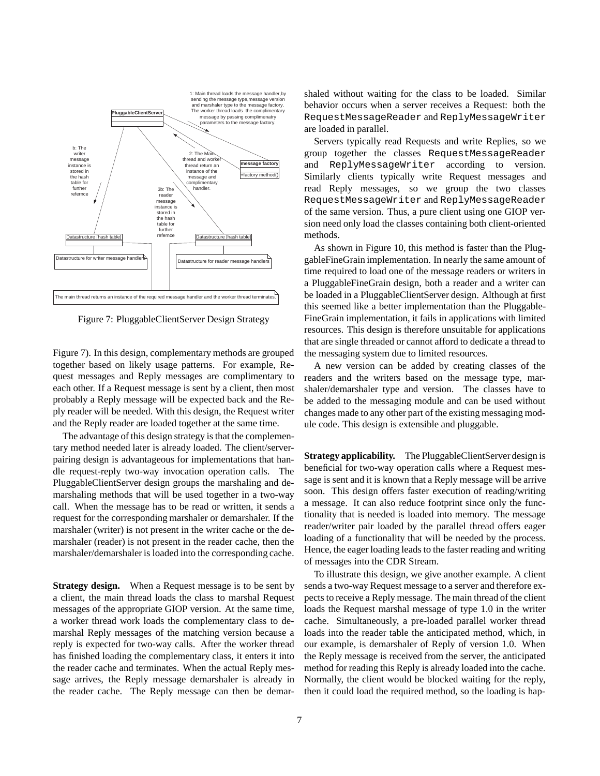

Figure 7: PluggableClientServer Design Strategy

Figure 7). In this design, complementary methods are grouped together based on likely usage patterns. For example, Request messages and Reply messages are complimentary to each other. If a Request message is sent by a client, then most probably a Reply message will be expected back and the Reply reader will be needed. With this design, the Request writer and the Reply reader are loaded together at the same time.

The advantage of this design strategy is that the complementary method needed later is already loaded. The client/serverpairing design is advantageous for implementations that handle request-reply two-way invocation operation calls. The PluggableClientServer design groups the marshaling and demarshaling methods that will be used together in a two-way call. When the message has to be read or written, it sends a request for the corresponding marshaler or demarshaler. If the marshaler (writer) is not present in the writer cache or the demarshaler (reader) is not present in the reader cache, then the marshaler/demarshaler is loaded into the corresponding cache.

**Strategy design.** When a Request message is to be sent by a client, the main thread loads the class to marshal Request messages of the appropriate GIOP version. At the same time, a worker thread work loads the complementary class to demarshal Reply messages of the matching version because a reply is expected for two-way calls. After the worker thread has finished loading the complementary class, it enters it into the reader cache and terminates. When the actual Reply message arrives, the Reply message demarshaler is already in the reader cache. The Reply message can then be demarshaled without waiting for the class to be loaded. Similar behavior occurs when a server receives a Request: both the RequestMessageReader and ReplyMessageWriter are loaded in parallel.

Servers typically read Requests and write Replies, so we group together the classes RequestMessageReader and ReplyMessageWriter according to version. Similarly clients typically write Request messages and read Reply messages, so we group the two classes RequestMessageWriter and ReplyMessageReader of the same version. Thus, a pure client using one GIOP version need only load the classes containing both client-oriented methods.

As shown in Figure 10, this method is faster than the PluggableFineGrain implementation. In nearly the same amount of time required to load one of the message readers or writers in a PluggableFineGrain design, both a reader and a writer can be loaded in a PluggableClientServer design. Although at first this seemed like a better implementation than the Pluggable-FineGrain implementation, it fails in applications with limited resources. This design is therefore unsuitable for applications that are single threaded or cannot afford to dedicate a thread to the messaging system due to limited resources.

A new version can be added by creating classes of the readers and the writers based on the message type, marshaler/demarshaler type and version. The classes have to be added to the messaging module and can be used without changes made to any other part of the existing messaging module code. This design is extensible and pluggable.

**Strategy applicability.** The PluggableClientServer design is beneficial for two-way operation calls where a Request message is sent and it is known that a Reply message will be arrive soon. This design offers faster execution of reading/writing a message. It can also reduce footprint since only the functionality that is needed is loaded into memory. The message reader/writer pair loaded by the parallel thread offers eager loading of a functionality that will be needed by the process. Hence, the eager loading leads to the faster reading and writing of messages into the CDR Stream.

To illustrate this design, we give another example. A client sends a two-way Request message to a server and therefore expects to receive a Reply message. The main thread of the client loads the Request marshal message of type 1.0 in the writer cache. Simultaneously, a pre-loaded parallel worker thread loads into the reader table the anticipated method, which, in our example, is demarshaler of Reply of version 1.0. When the Reply message is received from the server, the anticipated method for reading this Reply is already loaded into the cache. Normally, the client would be blocked waiting for the reply, then it could load the required method, so the loading is hap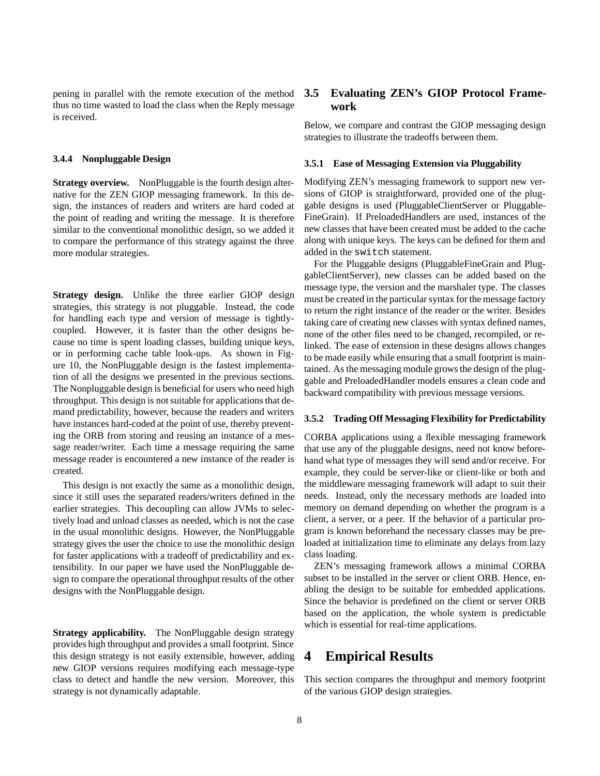pening in parallel with the remote execution of the method thus no time wasted to load the class when the Reply message is received.

### **3.4.4 Nonpluggable Design**

**Strategy overview.** NonPluggable is the fourth design alternative for the ZEN GIOP messaging framework. In this design, the instances of readers and writers are hard coded at the point of reading and writing the message. It is therefore similar to the conventional monolithic design, so we added it to compare the performance of this strategy against the three more modular strategies.

**Strategy design.** Unlike the three earlier GIOP design strategies, this strategy is not pluggable. Instead, the code for handling each type and version of message is tightlycoupled. However, it is faster than the other designs because no time is spent loading classes, building unique keys, or in performing cache table look-ups. As shown in Figure 10, the NonPluggable design is the fastest implementation of all the designs we presented in the previous sections. The Nonpluggable design is beneficial for users who need high throughput. This design is not suitable for applications that demand predictability, however, because the readers and writers have instances hard-coded at the point of use, thereby preventing the ORB from storing and reusing an instance of a message reader/writer. Each time a message requiring the same message reader is encountered a new instance of the reader is created.

This design is not exactly the same as a monolithic design, since it still uses the separated readers/writers defined in the earlier strategies. This decoupling can allow JVMs to selectively load and unload classes as needed, which is not the case in the usual monolithic designs. However, the NonPluggable strategy gives the user the choice to use the monolithic design for faster applications with a tradeoff of predictability and extensibility. In our paper we have used the NonPluggable design to compare the operational throughput results of the other designs with the NonPluggable design.

**Strategy applicability.** The NonPluggable design strategy provides high throughput and provides a small footprint. Since this design strategy is not easily extensible, however, adding new GIOP versions requires modifying each message-type class to detect and handle the new version. Moreover, this strategy is not dynamically adaptable.

### **3.5 Evaluating ZEN's GIOP Protocol Framework**

Below, we compare and contrast the GIOP messaging design strategies to illustrate the tradeoffs between them.

#### **3.5.1 Ease of Messaging Extension via Pluggability**

Modifying ZEN's messaging framework to support new versions of GIOP is straightforward, provided one of the pluggable designs is used (PluggableClientServer or Pluggable-FineGrain). If PreloadedHandlers are used, instances of the new classes that have been created must be added to the cache along with unique keys. The keys can be defined for them and added in the switch statement.

For the Pluggable designs (PluggableFineGrain and PluggableClientServer), new classes can be added based on the message type, the version and the marshaler type. The classes must be created in the particular syntax for the message factory to return the right instance of the reader or the writer. Besides taking care of creating new classes with syntax defined names, none of the other files need to be changed, recompiled, or relinked. The ease of extension in these designs allows changes to be made easily while ensuring that a small footprint is maintained. As the messaging module grows the design of the pluggable and PreloadedHandler models ensures a clean code and backward compatibility with previous message versions.

#### **3.5.2 Trading Off Messaging Flexibility for Predictability**

CORBA applications using a flexible messaging framework that use any of the pluggable designs, need not know beforehand what type of messages they will send and/or receive. For example, they could be server-like or client-like or both and the middleware messaging framework will adapt to suit their needs. Instead, only the necessary methods are loaded into memory on demand depending on whether the program is a client, a server, or a peer. If the behavior of a particular program is known beforehand the necessary classes may be preloaded at initialization time to eliminate any delays from lazy class loading.

ZEN's messaging framework allows a minimal CORBA subset to be installed in the server or client ORB. Hence, enabling the design to be suitable for embedded applications. Since the behavior is predefined on the client or server ORB based on the application, the whole system is predictable which is essential for real-time applications.

## **4 Empirical Results**

This section compares the throughput and memory footprint of the various GIOP design strategies.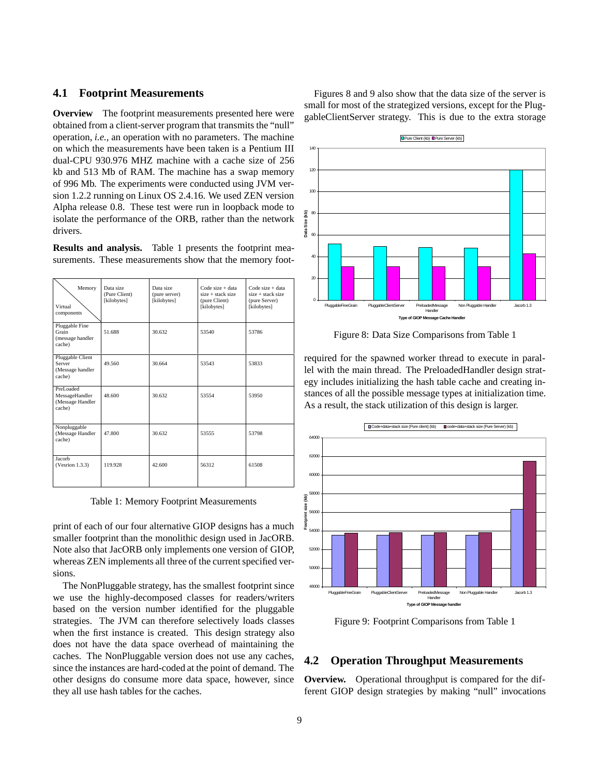### **4.1 Footprint Measurements**

**Overview** The footprint measurements presented here were obtained from a client-server program that transmits the "null" operation, *i.e.*, an operation with no parameters. The machine on which the measurements have been taken is a Pentium III dual-CPU 930.976 MHZ machine with a cache size of 256 kb and 513 Mb of RAM. The machine has a swap memory of 996 Mb. The experiments were conducted using JVM version 1.2.2 running on Linux OS 2.4.16. We used ZEN version Alpha release 0.8. These test were run in loopback mode to isolate the performance of the ORB, rather than the network drivers.

**Results and analysis.** Table 1 presents the footprint measurements. These measurements show that the memory foot-

| Memory<br>Virtual<br>components                           | Data size<br>(Pure Client)<br>[kilobytes] | Data size<br>(pure server)<br>[kilobytes] | $Code size + data$<br>$size + stack size$<br>(pure Client)<br>[kilobytes] | $Code size + data$<br>$size + stack size$<br>(pure Server)<br>[kilobytes] |
|-----------------------------------------------------------|-------------------------------------------|-------------------------------------------|---------------------------------------------------------------------------|---------------------------------------------------------------------------|
| Pluggable Fine<br>Grain<br>(message handler<br>cache)     | 51.688                                    | 30.632                                    | 53540                                                                     | 53786                                                                     |
| Pluggable Client<br>Server<br>(Message handler<br>cache)  | 49.560                                    | 30.664                                    | 53543                                                                     | 53833                                                                     |
| PreLoaded<br>MessageHandler<br>(Message Handler<br>cache) | 48.600                                    | 30.632                                    | 53554                                                                     | 53950                                                                     |
| Nonpluggable<br>(Message Handler<br>cache)                | 47.800                                    | 30.632                                    | 53555                                                                     | 53798                                                                     |
| Jacorb<br>(Vesrion 1.3.3)                                 | 119.928                                   | 42.600                                    | 56312                                                                     | 61508                                                                     |

Table 1: Memory Footprint Measurements

print of each of our four alternative GIOP designs has a much smaller footprint than the monolithic design used in JacORB. Note also that JacORB only implements one version of GIOP, whereas ZEN implements all three of the current specified versions.

The NonPluggable strategy, has the smallest footprint since we use the highly-decomposed classes for readers/writers based on the version number identified for the pluggable strategies. The JVM can therefore selectively loads classes when the first instance is created. This design strategy also does not have the data space overhead of maintaining the caches. The NonPluggable version does not use any caches, since the instances are hard-coded at the point of demand. The other designs do consume more data space, however, since they all use hash tables for the caches.

Figures 8 and 9 also show that the data size of the server is small for most of the strategized versions, except for the PluggableClientServer strategy. This is due to the extra storage



Figure 8: Data Size Comparisons from Table 1

required for the spawned worker thread to execute in parallel with the main thread. The PreloadedHandler design strategy includes initializing the hash table cache and creating instances of all the possible message types at initialization time. As a result, the stack utilization of this design is larger.



Figure 9: Footprint Comparisons from Table 1

### **4.2 Operation Throughput Measurements**

**Overview.** Operational throughput is compared for the different GIOP design strategies by making "null" invocations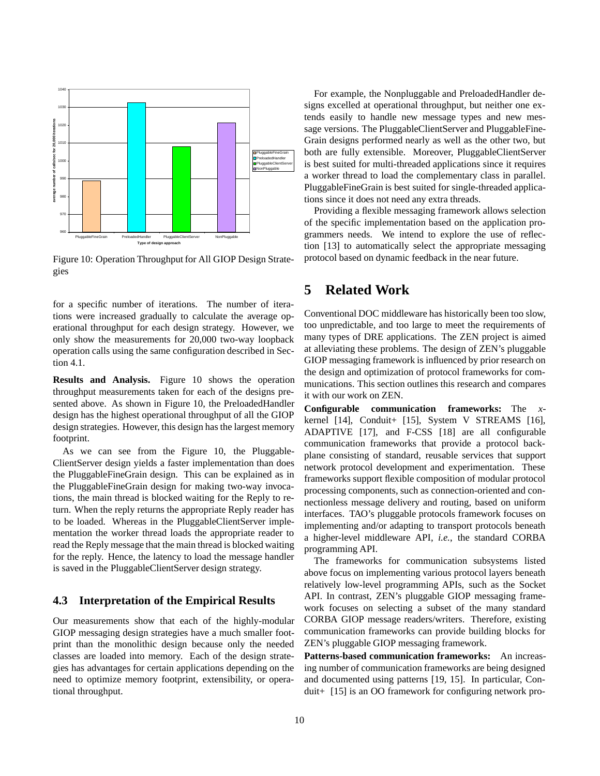

Figure 10: Operation Throughput for All GIOP Design Strategies

for a specific number of iterations. The number of iterations were increased gradually to calculate the average operational throughput for each design strategy. However, we only show the measurements for 20,000 two-way loopback operation calls using the same configuration described in Section 4.1.

**Results and Analysis.** Figure 10 shows the operation throughput measurements taken for each of the designs presented above. As shown in Figure 10, the PreloadedHandler design has the highest operational throughput of all the GIOP design strategies. However, this design has the largest memory footprint.

As we can see from the Figure 10, the Pluggable-ClientServer design yields a faster implementation than does the PluggableFineGrain design. This can be explained as in the PluggableFineGrain design for making two-way invocations, the main thread is blocked waiting for the Reply to return. When the reply returns the appropriate Reply reader has to be loaded. Whereas in the PluggableClientServer implementation the worker thread loads the appropriate reader to read the Reply message that the main thread is blocked waiting for the reply. Hence, the latency to load the message handler is saved in the PluggableClientServer design strategy.

### **4.3 Interpretation of the Empirical Results**

Our measurements show that each of the highly-modular GIOP messaging design strategies have a much smaller footprint than the monolithic design because only the needed classes are loaded into memory. Each of the design strategies has advantages for certain applications depending on the need to optimize memory footprint, extensibility, or operational throughput.

For example, the Nonpluggable and PreloadedHandler designs excelled at operational throughput, but neither one extends easily to handle new message types and new message versions. The PluggableClientServer and PluggableFine-Grain designs performed nearly as well as the other two, but both are fully extensible. Moreover, PluggableClientServer is best suited for multi-threaded applications since it requires a worker thread to load the complementary class in parallel. PluggableFineGrain is best suited for single-threaded applications since it does not need any extra threads.

Providing a flexible messaging framework allows selection of the specific implementation based on the application programmers needs. We intend to explore the use of reflection [13] to automatically select the appropriate messaging protocol based on dynamic feedback in the near future.

# **5 Related Work**

Conventional DOC middleware has historically been too slow, too unpredictable, and too large to meet the requirements of many types of DRE applications. The ZEN project is aimed at alleviating these problems. The design of ZEN's pluggable GIOP messaging framework is influenced by prior research on the design and optimization of protocol frameworks for communications. This section outlines this research and compares it with our work on ZEN.

**Configurable communication frameworks:** The *x*kernel [14], Conduit+ [15], System V STREAMS [16], ADAPTIVE [17], and F-CSS [18] are all configurable communication frameworks that provide a protocol backplane consisting of standard, reusable services that support network protocol development and experimentation. These frameworks support flexible composition of modular protocol processing components, such as connection-oriented and connectionless message delivery and routing, based on uniform interfaces. TAO's pluggable protocols framework focuses on implementing and/or adapting to transport protocols beneath a higher-level middleware API, *i.e.*, the standard CORBA programming API.

The frameworks for communication subsystems listed above focus on implementing various protocol layers beneath relatively low-level programming APIs, such as the Socket API. In contrast, ZEN's pluggable GIOP messaging framework focuses on selecting a subset of the many standard CORBA GIOP message readers/writers. Therefore, existing communication frameworks can provide building blocks for ZEN's pluggable GIOP messaging framework.

**Patterns-based communication frameworks:** An increasing number of communication frameworks are being designed and documented using patterns [19, 15]. In particular, Conduit+ [15] is an OO framework for configuring network pro